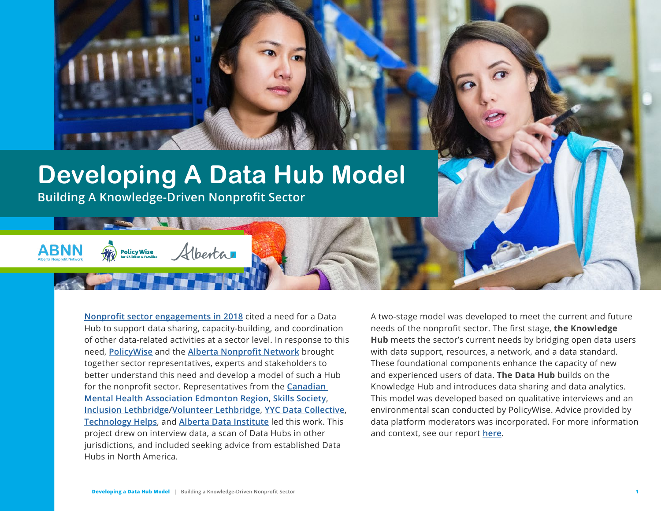

## **Developing A Data Hub Model**

Alberta

**Building A Knowledge-Driven Nonprofit Sector**

**Policy Wise** 

**[Nonprofit sector engagements in 2018](https://static1.squarespace.com/static/5aef5b46cef3728571e6c46c/t/5ca39f266becf1000149d09f/1554226983895/Alberta+Nonprofit+Data+Strategy%5B1%5D.pdf)** cited a need for a Data Hub to support data sharing, capacity-building, and coordination of other data-related activities at a sector level. In response to this need, **[PolicyWise](https://policywise.com/)** and the **[Alberta Nonprofit Network](https://albertanonprofits.ca/)** brought together sector representatives, experts and stakeholders to better understand this need and develop a model of such a Hub for the nonprofit sector. Representatives from the **[Canadian](https://edmonton.cmha.ca/)  [Mental Health Association Edmonton Region](https://edmonton.cmha.ca/)**, **[Skills Society](https://www.skillssociety.ca/)**, **[Inclusion Lethbridge](https://inclusionlethbridge.com/)**/**[Volunteer Lethbridge](https://volunteerlethbridge.com/)**, **[YYC Data Collective](https://yycdatacollective.ucalgary.ca/)**, **[Technology Helps](https://www.technologyhelps.org/)**, and **[Alberta Data Institute](https://albertainnovates.ca/programs/alberta-data-institute/)** led this work. This project drew on interview data, a scan of Data Hubs in other jurisdictions, and included seeking advice from established Data Hubs in North America.

A two-stage model was developed to meet the current and future needs of the nonprofit sector. The first stage, **the Knowledge Hub** meets the sector's current needs by bridging open data users with data support, resources, a network, and a data standard. These foundational components enhance the capacity of new and experienced users of data. **The Data Hub** builds on the Knowledge Hub and introduces data sharing and data analytics. This model was developed based on qualitative interviews and an environmental scan conducted by PolicyWise. Advice provided by data platform moderators was incorporated. For more information and context, see our report **[here](https://policywise.com/data-strategy)**.